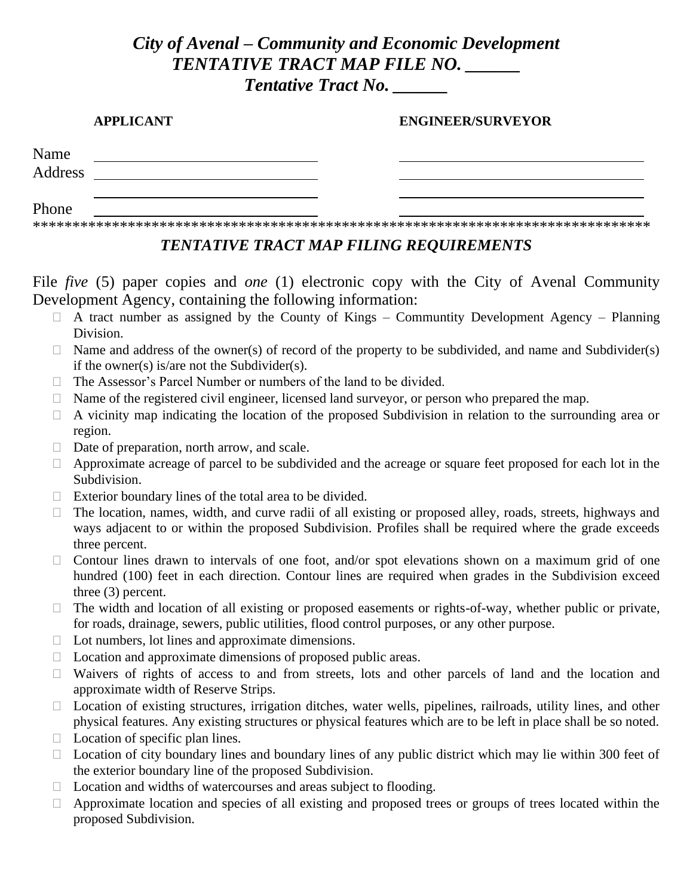# *City of Avenal – Community and Economic Development TENTATIVE TRACT MAP FILE NO. \_\_\_\_\_\_ Tentative Tract No. \_\_\_\_\_\_*

#### **APPLICANT ENGINEER/SURVEYOR**

| Name<br>Address |  |  |  |
|-----------------|--|--|--|
|                 |  |  |  |
| Phone           |  |  |  |

\*\*\*\*\*\*\*\*\*\*\*\*\*\*\*\*\*\*\*\*\*\*\*\*\*\*\*\*\*\*\*\*\*\*\*\*\*\*\*\*\*\*\*\*\*\*\*\*\*\*\*\*\*\*\*\*\*\*\*\*\*\*\*\*\*\*\*\*\*\*\*\*\*\*\*\*\*\*

## *TENTATIVE TRACT MAP FILING REQUIREMENTS*

File *five* (5) paper copies and *one* (1) electronic copy with the City of Avenal Community Development Agency, containing the following information:

- $\Box$  A tract number as assigned by the County of Kings Communtity Development Agency Planning Division.
- $\Box$  Name and address of the owner(s) of record of the property to be subdivided, and name and Subdivider(s) if the owner(s) is/are not the Subdivider(s).
- $\Box$  The Assessor's Parcel Number or numbers of the land to be divided.
- $\Box$  Name of the registered civil engineer, licensed land surveyor, or person who prepared the map.
- $\Box$  A vicinity map indicating the location of the proposed Subdivision in relation to the surrounding area or region.
- $\Box$  Date of preparation, north arrow, and scale.
- $\Box$  Approximate acreage of parcel to be subdivided and the acreage or square feet proposed for each lot in the Subdivision.
- $\Box$  Exterior boundary lines of the total area to be divided.
- $\Box$  The location, names, width, and curve radii of all existing or proposed alley, roads, streets, highways and ways adjacent to or within the proposed Subdivision. Profiles shall be required where the grade exceeds three percent.
- $\Box$  Contour lines drawn to intervals of one foot, and/or spot elevations shown on a maximum grid of one hundred (100) feet in each direction. Contour lines are required when grades in the Subdivision exceed three (3) percent.
- $\Box$  The width and location of all existing or proposed easements or rights-of-way, whether public or private, for roads, drainage, sewers, public utilities, flood control purposes, or any other purpose.
- $\Box$  Lot numbers, lot lines and approximate dimensions.
- $\Box$  Location and approximate dimensions of proposed public areas.
- $\Box$  Waivers of rights of access to and from streets, lots and other parcels of land and the location and approximate width of Reserve Strips.
- $\Box$  Location of existing structures, irrigation ditches, water wells, pipelines, railroads, utility lines, and other physical features. Any existing structures or physical features which are to be left in place shall be so noted.
- $\Box$  Location of specific plan lines.
- $\Box$  Location of city boundary lines and boundary lines of any public district which may lie within 300 feet of the exterior boundary line of the proposed Subdivision.
- $\Box$  Location and widths of watercourses and areas subject to flooding.
- $\Box$  Approximate location and species of all existing and proposed trees or groups of trees located within the proposed Subdivision.